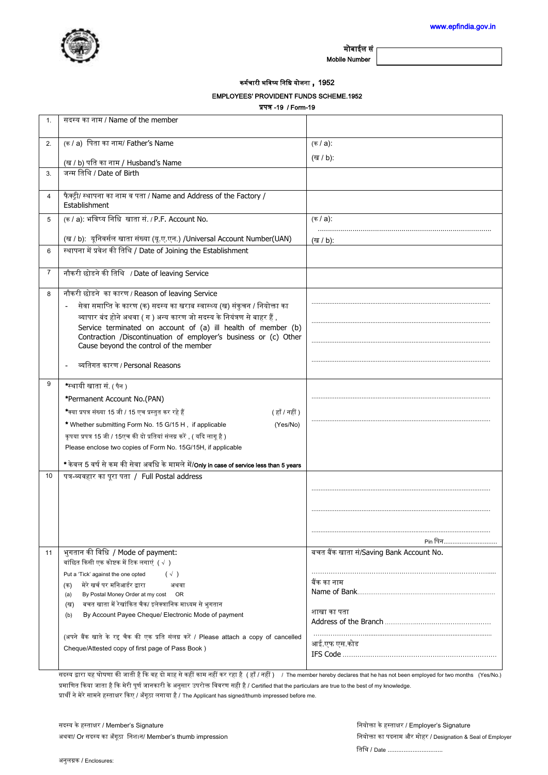

Mobile Number

कर्मचारी भविष्य निधि योजना , 1952

## EMPLOYEES' PROVIDENT FUNDS SCHEME.1952

 $\overline{18}$   $\overline{18}$   $\overline{19}$ 

|                | <b>प्रपत्र - 19 / FORR-19</b>                                                                                                                         |                                                            |  |
|----------------|-------------------------------------------------------------------------------------------------------------------------------------------------------|------------------------------------------------------------|--|
| $\mathbf{1}$ . | सदस्य का नाम / Name of the member                                                                                                                     |                                                            |  |
| 2.             | (क / a) पिता का नाम/ Father's Name                                                                                                                    | (क / a):                                                   |  |
|                | (ख / b) पति का नाम / Husband's Name                                                                                                                   | (ख / b):                                                   |  |
| 3.             | जन्म तिथि / Date of Birth                                                                                                                             |                                                            |  |
| 4              | फैक्ट्री/ स्थापना का नाम व पता / Name and Address of the Factory /<br>Establishment                                                                   |                                                            |  |
| 5              | (क / a): भविष्य निधि खाता सं. / P.F. Account No.                                                                                                      | (क / a):                                                   |  |
|                | (ख / b): यूनिवर्सल खाता संख्या (यू.ए.एन.) /Universal Account Number(UAN)                                                                              | (ख / b):                                                   |  |
| 6              | स्थापना में प्रवेश की तिथि / Date of Joining the Establishment                                                                                        |                                                            |  |
| 7              | नौकरी छोडने की तिथि / Date of leaving Service                                                                                                         |                                                            |  |
| 8              | नौकरी छोडने का कारण / Reason of leaving Service                                                                                                       |                                                            |  |
|                | सेवा समाप्ति के कारण (क) सदस्य का खराब स्वास्थ्य (ख) संकुचन / नियोक्ता का<br>व्यापार बंद होने अथवा ( ग ) अन्य कारण जो सदस्य के नियंत्रण से बाहर हैं , |                                                            |  |
|                | Service terminated on account of (a) ill health of member (b)                                                                                         |                                                            |  |
|                | Contraction /Discontinuation of employer's business or (c) Other<br>Cause beyond the control of the member                                            |                                                            |  |
|                | व्यतिगत कारण / Personal Reasons                                                                                                                       |                                                            |  |
| 9              | *स्थायी खाता सं. ( पैन )                                                                                                                              |                                                            |  |
|                | *Permanent Account No.(PAN)                                                                                                                           |                                                            |  |
|                | .<br>*क्या प्रपत्र संख्या 15 जी / 15 एच प्रस्तुत कर रहे हैं<br>(हाँ / नहीं )                                                                          |                                                            |  |
|                | * Whether submitting Form No. 15 G/15 H, if applicable<br>(Yes/No)                                                                                    |                                                            |  |
|                | कृपया प्रपत्र 15 जी / 15एच की दो प्रतियां संलग्न करें , ( यदि लागू है )                                                                               |                                                            |  |
|                | Please enclose two copies of Form No. 15G/15H, if applicable                                                                                          |                                                            |  |
|                | * केवल 5 वर्ष से कम की सेवा अवधि के मामले में/Only in case of service less than 5 years                                                               |                                                            |  |
| 10             | पत्र-व्यवहार का पूरा पता / Full Postal address                                                                                                        |                                                            |  |
|                |                                                                                                                                                       |                                                            |  |
|                |                                                                                                                                                       |                                                            |  |
|                |                                                                                                                                                       |                                                            |  |
|                |                                                                                                                                                       |                                                            |  |
| 11             | भुगतान की विधि / Mode of payment:                                                                                                                     | Pin पिन…………………<br>बचत बैंक खाता सं/Saving Bank Account No. |  |
|                | वांछित किसी एक कोष्टक में टिक लगाएं $(\sqrt{ } )$                                                                                                     |                                                            |  |
|                | Put a 'Tick' against the one opted<br>$(\sqrt{ } )$                                                                                                   |                                                            |  |
|                | मेरे खर्च पर मनिआर्डर द्वारा<br>(क)<br>अथवा                                                                                                           | बैंक का नाम                                                |  |
|                | By Postal Money Order at my cost OR<br>(a)                                                                                                            |                                                            |  |
|                | बचत खाता में रेखांकित चैक/ इलेक्त्रानिक माध्यम से भुगतान<br>(ख)<br>By Account Payee Cheque/ Electronic Mode of payment<br>(b)                         | शाखा का पता                                                |  |
|                |                                                                                                                                                       |                                                            |  |
|                | (अपने बैंक खाते के रद्द चैक की एक प्रति संलग्न करें / Please attach a copy of cancelled                                                               |                                                            |  |
|                | Cheque/Attested copy of first page of Pass Book)                                                                                                      | आई.एफ एस.कोड                                               |  |
|                |                                                                                                                                                       |                                                            |  |

सदस्य द्वारा यह घोषणा की जाती है कि वह दो माह से कहीं काम नहीं कर रहा है (हाँ / नहीं ) / The member hereby declares that he has not been employed for two months (Yes/No.) प्रमाणित किया जाता है कि मेरी पूर्ण जानकारी के अनुसार उपरोक्त विवरण सही है / Certified that the particulars are true to the best of my knowledge. प्रार्थी ने मेरे सामने हस्ताक्षर किए / अँगूठा लगाया है / The Applicant has signed/thumb impressed before me.

सदस्य के हस्ताक्षर / Member's Signature वियोक्ता के हस्ताक्षर / Employer's Signature अथवा/ Or सदस्य का अँगूठा निशान/ Member's thumb impression and the state of Employer and the state of Employer